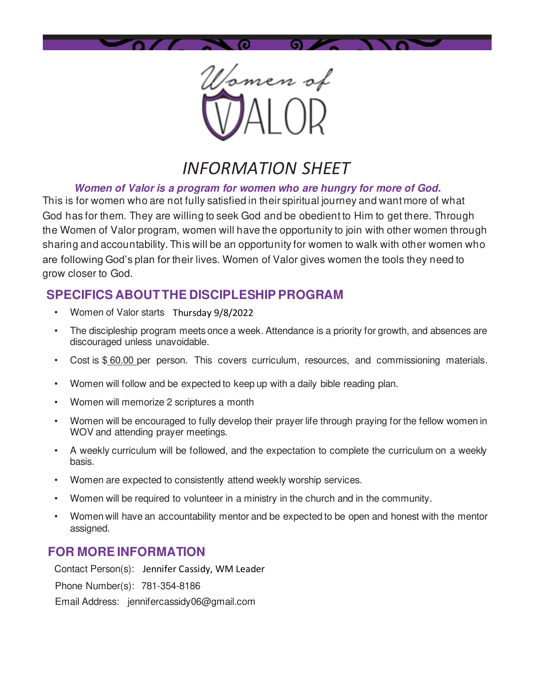



# *INFORMATION SHEET*

#### **Women of Valor is a program for women who are hungry for more of God.**

This is for women who are not fully satisfied in their spiritual journey and want more of what God has for them. They are willing to seek God and be obedient to Him to get there. Through the Women of Valor program, women will have the opportunity to join with other women through sharing and accountability. This will be an opportunity for women to walk with other women who are following God's plan for their lives. Women of Valor gives women the tools they need to grow closer to God.

## **SPECIFICS ABOUT THE DISCIPLESHIP PROGRAM**

- Women of Valor starts Thursday 9/8/2022
- The discipleship program meets once a week. Attendance is a priority for growth, and absences are discouraged unless unavoidable.
- Cost is \$ 60.00 per person. This covers curriculum, resources, and commissioning materials.
- Women will follow and be expected to keep up with a daily bible reading plan.
- Women will memorize 2 scriptures a month
- Women will be encouraged to fully develop their prayer life through praying for the fellow women in WOV and attending prayer meetings.
- A weekly curriculum will be followed, and the expectation to complete the curriculum on a weekly basis.
- Women are expected to consistently attend weekly worship services.
- Women will be required to volunteer in a ministry in the church and in the community.
- Women will have an accountability mentor and be expected to be open and honest with the mentor assigned.

#### **FOR MORE INFORMATION**

Contact Person(s): Jennifer Cassidy, WM Leader

Phone Number(s): 781-354-8186

Email Address: jennifercassidy06@gmail.com